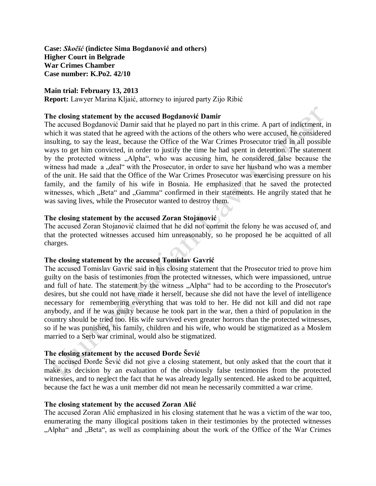**Case:** *Skočić* **(indictee Sima Bogdanović and others) Higher Court in Belgrade War Crimes Chamber Case number: K.Po2. 42/10** 

### **Main trial: February 13, 2013**

**Report:** Lawyer Marina Kljaić, attorney to injured party Zijo Ribić

### **The closing statement by the accused Bogdanović Damir**

The accused Bogdanović Damir said that he played no part in this crime. A part of indictment, in which it was stated that he agreed with the actions of the others who were accused, he considered insulting, to say the least, because the Office of the War Crimes Prosecutor tried in all possible ways to get him convicted, in order to justify the time he had spent in detention. The statement by the protected witness "Alpha", who was accusing him, he considered false because the witness had made a "deal" with the Prosecutor, in order to save her husband who was a member of the unit. He said that the Office of the War Crimes Prosecutor was exercising pressure on his family, and the family of his wife in Bosnia. He emphasized that he saved the protected witnesses, which "Beta" and "Gamma" confirmed in their statements. He angrily stated that he was saving lives, while the Prosecutor wanted to destroy them.

## **The closing statement by the accused Zoran Stojanović**

The accused Zoran Stojanović claimed that he did not commit the felony he was accused of, and that the protected witnesses accused him unreasonably, so he proposed he be acquitted of all charges.

# **The closing statement by the accused Tomislav Gavrić**

The accused Tomislav Gavrić said in his closing statement that the Prosecutor tried to prove him guilty on the basis of testimonies from the protected witnesses, which were impassioned, untrue and full of hate. The statement by the witness "Alpha" had to be according to the Prosecutor's desires, but she could not have made it herself, because she did not have the level of intelligence necessary for remembering everything that was told to her. He did not kill and did not rape anybody, and if he was guilty because he took part in the war, then a third of population in the country should be tried too. His wife survived even greater horrors than the protected witnesses, so if he was punished, his family, children and his wife, who would be stigmatized as a Moslem married to a Serb war criminal, would also be stigmatized.

# **The closing statement by the accused Đorđe Šević**

The accused Đorđe Šević did not give a closing statement, but only asked that the court that it make its decision by an evaluation of the obviously false testimonies from the protected witnesses, and to neglect the fact that he was already legally sentenced. He asked to be acquitted, because the fact he was a unit member did not mean he necessarily committed a war crime.

#### **The closing statement by the accused Zoran Alić**

The accused Zoran Alić emphasized in his closing statement that he was a victim of the war too, enumerating the many illogical positions taken in their testimonies by the protected witnesses "Alpha" and "Beta", as well as complaining about the work of the Office of the War Crimes